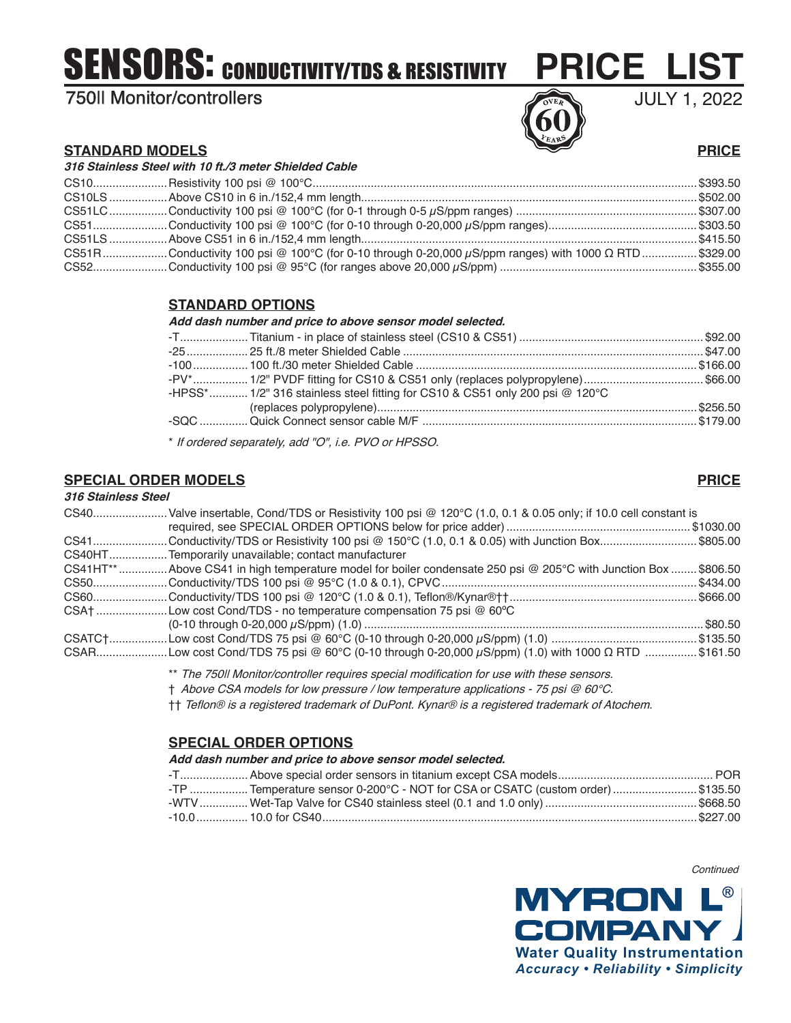# SENSORS: CONDUCTIVITY/TDS & RESISTIVITY

# 750II Monitor/controllers



# JULY 1, 2022

### **STANDARD MODELS PRICE**

| 316 Stainless Steel with 10 ft./3 meter Shielded Cable |                                                                                                     |  |  |  |
|--------------------------------------------------------|-----------------------------------------------------------------------------------------------------|--|--|--|
|                                                        |                                                                                                     |  |  |  |
|                                                        |                                                                                                     |  |  |  |
|                                                        |                                                                                                     |  |  |  |
|                                                        |                                                                                                     |  |  |  |
|                                                        |                                                                                                     |  |  |  |
|                                                        | CS51RConductivity 100 psi @ 100°C (for 0-10 through 0-20,000 μS/ppm ranges) with 1000 Ω RTD\$329.00 |  |  |  |
|                                                        |                                                                                                     |  |  |  |

# **STANDARD OPTIONS**

#### **Add dash number and price to above sensor model selected.**

| -PV* 1/2" PVDF fitting for CS10 & CS51 only (replaces polypropylene)\$66.00  |  |
|------------------------------------------------------------------------------|--|
| -HPSS* 1/2" 316 stainless steel fitting for CS10 & CS51 only 200 psi @ 120°C |  |
|                                                                              |  |
|                                                                              |  |
|                                                                              |  |

\* If ordered separately, add "O", i.e. PVO or HPSSO.

# **SPECIAL ORDER MODELS PRICE**

#### **316 Stainless Steel**

### CS40.......................Valve insertable, Cond/TDS or Resistivity 100 psi @ 120°C (1.0, 0.1 & 0.05 only; if 10.0 cell constant is required, see SPECIAL ORDER OPTIONS below for price adder)......................................................... \$1030.00 CS41.......................Conductivity/TDS or Resistivity 100 psi @ 150°C (1.0, 0.1 & 0.05) with Junction Box.............................. \$805.00 CS40HT..................Temporarily unavailable; contact manufacturer CS41HT\*\*...............Above CS41 in high temperature model for boiler condensate 250 psi @ 205°C with Junction Box ........ \$806.50 CS50.......................Conductivity/TDS 100 psi @ 95°C (1.0 & 0.1), CPVC............................................................................... \$434.00 CS60.......................Conductivity/TDS 100 psi @ 120°C (1.0 & 0.1), Teflon®/Kynar®††.......................................................... \$666.00 CSA† ......................Low cost Cond/TDS - no temperature compensation 75 psi @ 60ºC (0-10 through 0-20,000 µS/ppm) (1.0) .........................................................................................................\$80.50 CSATC†..................Low cost Cond/TDS 75 psi @ 60°C (0-10 through 0-20,000 µS/ppm) (1.0) ............................................. \$135.50 CSAR......................Low cost Cond/TDS 75 psi @ 60°C (0-10 through 0-20,000 µS/ppm) (1.0) with 1000 Ω RTD ................ \$161.50

\*\* The 750II Monitor/controller requires special modification for use with these sensors.

† Above CSA models for low pressure / low temperature applications - 75 psi @ 60°C.

†† Teflon® is a registered trademark of DuPont. Kynar® is a registered trademark of Atochem.

# **SPECIAL ORDER OPTIONS**

#### **Add dash number and price to above sensor model selected.**

| TP  Temperature sensor 0-200°C - NOT for CSA or CSATC (custom order) \$135.50 |  |
|-------------------------------------------------------------------------------|--|
|                                                                               |  |
|                                                                               |  |